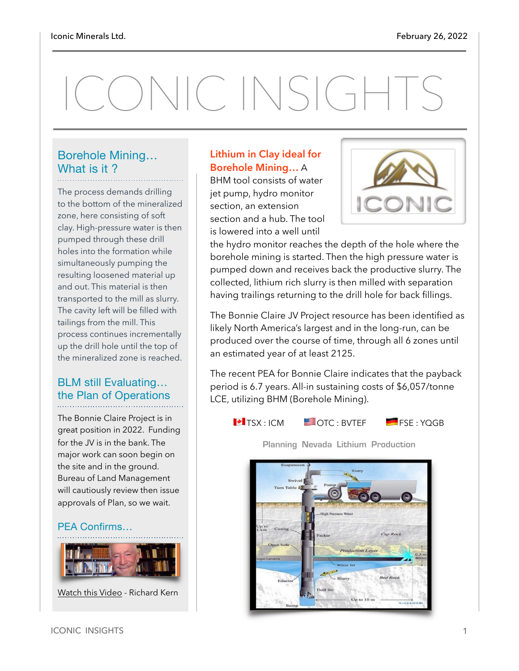# ONIC INSIGHTS

#### Borehole Mining… What is it?

The process demands drilling to the bottom of the mineralized zone, here consisting of soft clay. High-pressure water is then pumped through these drill holes into the formation while simultaneously pumping the resulting loosened material up and out. This material is then transported to the mill as slurry. The cavity left will be filled with tailings from the mill. This process continues incrementally up the drill hole until the top of the mineralized zone is reached.

#### BLM still Evaluating… the Plan of Operations

The Bonnie Claire Project is in great position in 2022. Funding for the JV is in the bank. The major work can soon begin on the site and in the ground. Bureau of Land Management will cautiously review then issue approvals of Plan, so we wait.

#### PEA Confirms…



[Watch this Video](https://www.youtube.com/watch?v=vsXsFvm4QMY) - Richard Kern

#### **Lithium in Clay ideal for Borehole Mining…** A

BHM tool consists of water jet pump, hydro monitor section, an extension section and a hub. The tool is lowered into a well until



the hydro monitor reaches the depth of the hole where the borehole mining is started. Then the high pressure water is pumped down and receives back the productive slurry. The collected, lithium rich slurry is then milled with separation having trailings returning to the drill hole for back fillings.

The Bonnie Claire JV Project resource has been identified as likely North America's largest and in the long-run, can be produced over the course of time, through all 6 zones until an estimated year of at least 2125.

The recent PEA for Bonnie Claire indicates that the payback period is 6.7 years. All-in sustaining costs of \$6,057/tonne LCE, utilizing BHM (Borehole Mining).



**Planning Nevada Lithium Production**